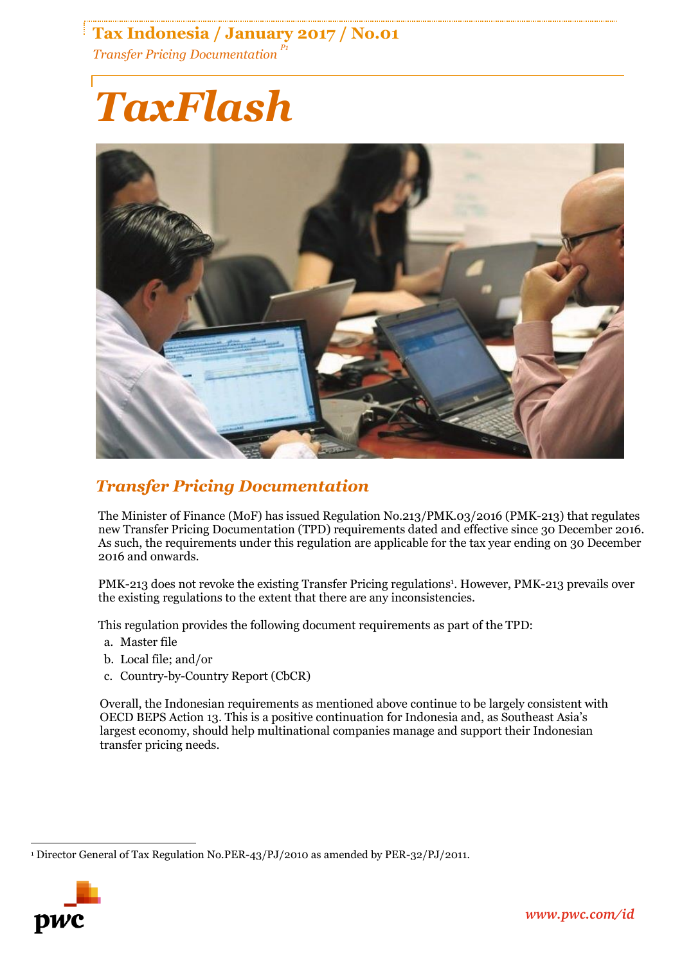# **Tax Indonesia / January 2017 / No.01** *Transfer Pricing Documentation P1*

# *TaxFlash*



# *Transfer Pricing Documentation*

The Minister of Finance (MoF) has issued Regulation No.213/PMK.03/2016 (PMK-213) that regulates new Transfer Pricing Documentation (TPD) requirements dated and effective since 30 December 2016. As such, the requirements under this regulation are applicable for the tax year ending on 30 December 2016 and onwards.

PMK-213 does not revoke the existing Transfer Pricing regulations<sup>1</sup>. However, PMK-213 prevails over the existing regulations to the extent that there are any inconsistencies.

This regulation provides the following document requirements as part of the TPD:

- a. Master file
- b. Local file; and/or
- c. Country-by-Country Report (CbCR)

Overall, the Indonesian requirements as mentioned above continue to be largely consistent with OECD BEPS Action 13. This is a positive continuation for Indonesia and, as Southeast Asia's largest economy, should help multinational companies manage and support their Indonesian transfer pricing needs.

 $\overline{a}$ <sup>1</sup> Director General of Tax Regulation No.PER-43/PJ/2010 as amended by PER-32/PJ/2011.

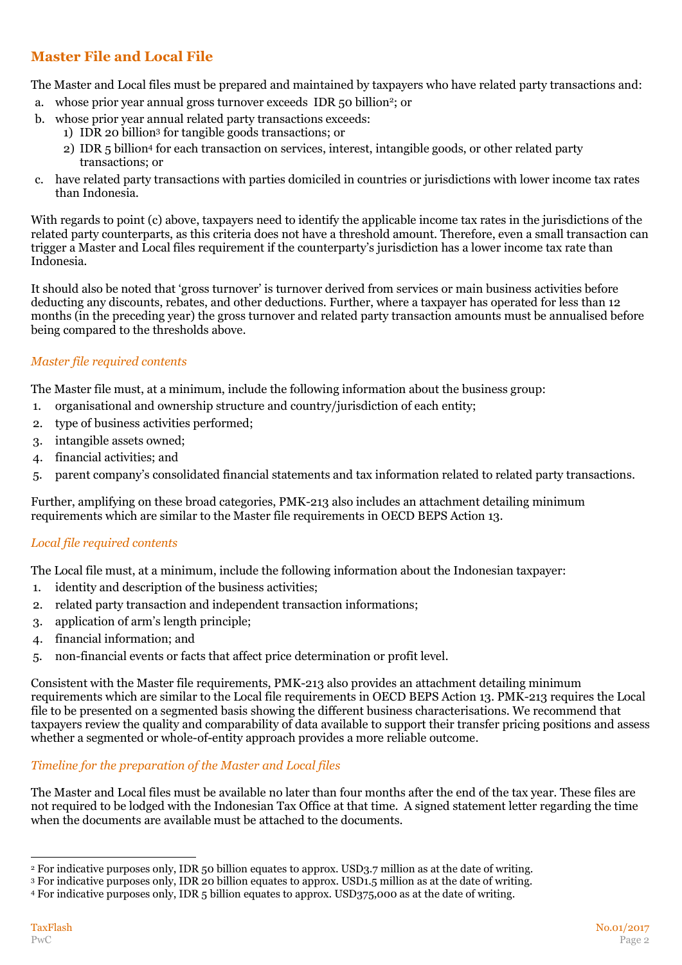## **Master File and Local File**

The Master and Local files must be prepared and maintained by taxpayers who have related party transactions and:

- a. whose prior year annual gross turnover exceeds IDR 50 billion<sup>2</sup>; or
- b. whose prior year annual related party transactions exceeds:
	- 1) IDR 20 billion<sup>3</sup> for tangible goods transactions; or
	- 2) IDR 5 billion<sup>4</sup> for each transaction on services, interest, intangible goods, or other related party transactions; or
- c. have related party transactions with parties domiciled in countries or jurisdictions with lower income tax rates than Indonesia.

With regards to point (c) above, taxpayers need to identify the applicable income tax rates in the jurisdictions of the related party counterparts, as this criteria does not have a threshold amount. Therefore, even a small transaction can trigger a Master and Local files requirement if the counterparty's jurisdiction has a lower income tax rate than Indonesia.

It should also be noted that 'gross turnover' is turnover derived from services or main business activities before deducting any discounts, rebates, and other deductions. Further, where a taxpayer has operated for less than 12 months (in the preceding year) the gross turnover and related party transaction amounts must be annualised before being compared to the thresholds above.

#### *Master file required contents*

The Master file must, at a minimum, include the following information about the business group:

- 1. organisational and ownership structure and country/jurisdiction of each entity;
- 2. type of business activities performed;
- 3. intangible assets owned;
- 4. financial activities; and
- 5. parent company's consolidated financial statements and tax information related to related party transactions.

Further, amplifying on these broad categories, PMK-213 also includes an attachment detailing minimum requirements which are similar to the Master file requirements in OECD BEPS Action 13.

#### *Local file required contents*

The Local file must, at a minimum, include the following information about the Indonesian taxpayer:

- 1. identity and description of the business activities;
- 2. related party transaction and independent transaction informations;
- 3. application of arm's length principle;
- 4. financial information; and
- 5. non-financial events or facts that affect price determination or profit level.

Consistent with the Master file requirements, PMK-213 also provides an attachment detailing minimum requirements which are similar to the Local file requirements in OECD BEPS Action 13. PMK-213 requires the Local file to be presented on a segmented basis showing the different business characterisations. We recommend that taxpayers review the quality and comparability of data available to support their transfer pricing positions and assess whether a segmented or whole-of-entity approach provides a more reliable outcome.

#### *Timeline for the preparation of the Master and Local files*

The Master and Local files must be available no later than four months after the end of the tax year. These files are not required to be lodged with the Indonesian Tax Office at that time. A signed statement letter regarding the time when the documents are available must be attached to the documents.

<sup>-</sup><sup>2</sup> For indicative purposes only, IDR 50 billion equates to approx. USD3.7 million as at the date of writing.

<sup>3</sup> For indicative purposes only, IDR 20 billion equates to approx. USD1.5 million as at the date of writing.

<sup>4</sup> For indicative purposes only, IDR 5 billion equates to approx. USD375,000 as at the date of writing.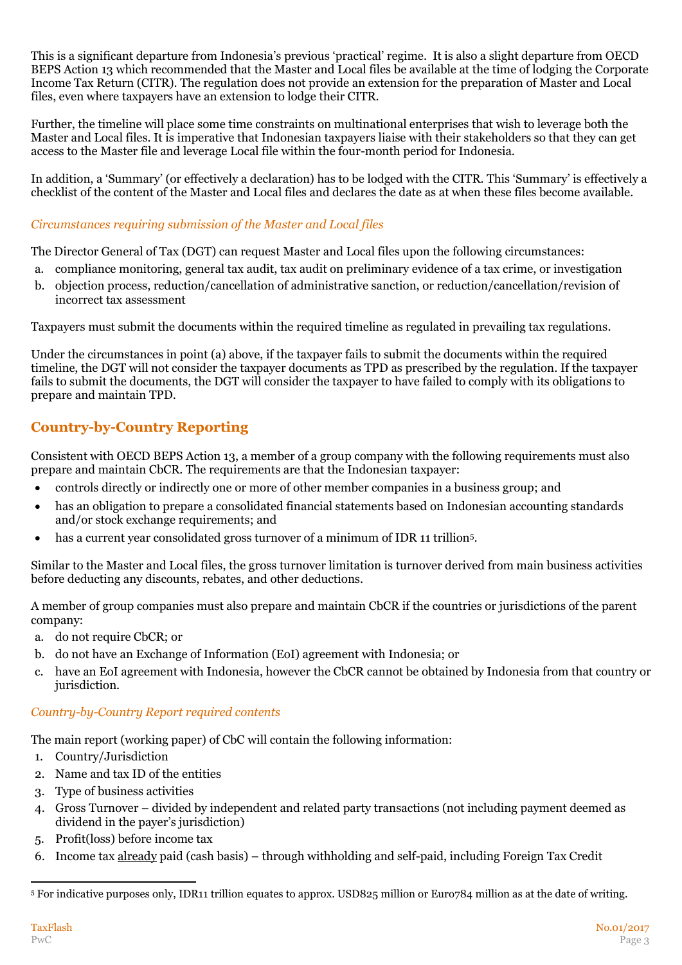This is a significant departure from Indonesia's previous 'practical' regime. It is also a slight departure from OECD BEPS Action 13 which recommended that the Master and Local files be available at the time of lodging the Corporate Income Tax Return (CITR). The regulation does not provide an extension for the preparation of Master and Local files, even where taxpayers have an extension to lodge their CITR.

Further, the timeline will place some time constraints on multinational enterprises that wish to leverage both the Master and Local files. It is imperative that Indonesian taxpayers liaise with their stakeholders so that they can get access to the Master file and leverage Local file within the four-month period for Indonesia.

In addition, a 'Summary' (or effectively a declaration) has to be lodged with the CITR. This 'Summary' is effectively a checklist of the content of the Master and Local files and declares the date as at when these files become available.

#### *Circumstances requiring submission of the Master and Local files*

The Director General of Tax (DGT) can request Master and Local files upon the following circumstances:

- a. compliance monitoring, general tax audit, tax audit on preliminary evidence of a tax crime, or investigation
- b. objection process, reduction/cancellation of administrative sanction, or reduction/cancellation/revision of incorrect tax assessment

Taxpayers must submit the documents within the required timeline as regulated in prevailing tax regulations.

Under the circumstances in point (a) above, if the taxpayer fails to submit the documents within the required timeline, the DGT will not consider the taxpayer documents as TPD as prescribed by the regulation. If the taxpayer fails to submit the documents, the DGT will consider the taxpayer to have failed to comply with its obligations to prepare and maintain TPD.

## **Country-by-Country Reporting**

Consistent with OECD BEPS Action 13, a member of a group company with the following requirements must also prepare and maintain CbCR. The requirements are that the Indonesian taxpayer:

- controls directly or indirectly one or more of other member companies in a business group; and
- has an obligation to prepare a consolidated financial statements based on Indonesian accounting standards and/or stock exchange requirements; and
- has a current year consolidated gross turnover of a minimum of IDR 11 trillion<sup>5</sup> .

Similar to the Master and Local files, the gross turnover limitation is turnover derived from main business activities before deducting any discounts, rebates, and other deductions.

A member of group companies must also prepare and maintain CbCR if the countries or jurisdictions of the parent company:

- a. do not require CbCR; or
- b. do not have an Exchange of Information (EoI) agreement with Indonesia; or
- c. have an EoI agreement with Indonesia, however the CbCR cannot be obtained by Indonesia from that country or jurisdiction.

#### *Country-by-Country Report required contents*

The main report (working paper) of CbC will contain the following information:

- 1. Country/Jurisdiction
- 2. Name and tax ID of the entities
- 3. Type of business activities
- 4. Gross Turnover divided by independent and related party transactions (not including payment deemed as dividend in the payer's jurisdiction)
- 5. Profit(loss) before income tax
- 6. Income tax already paid (cash basis) through withholding and self-paid, including Foreign Tax Credit

<sup>-</sup><sup>5</sup> For indicative purposes only, IDR11 trillion equates to approx. USD825 million or Euro784 million as at the date of writing.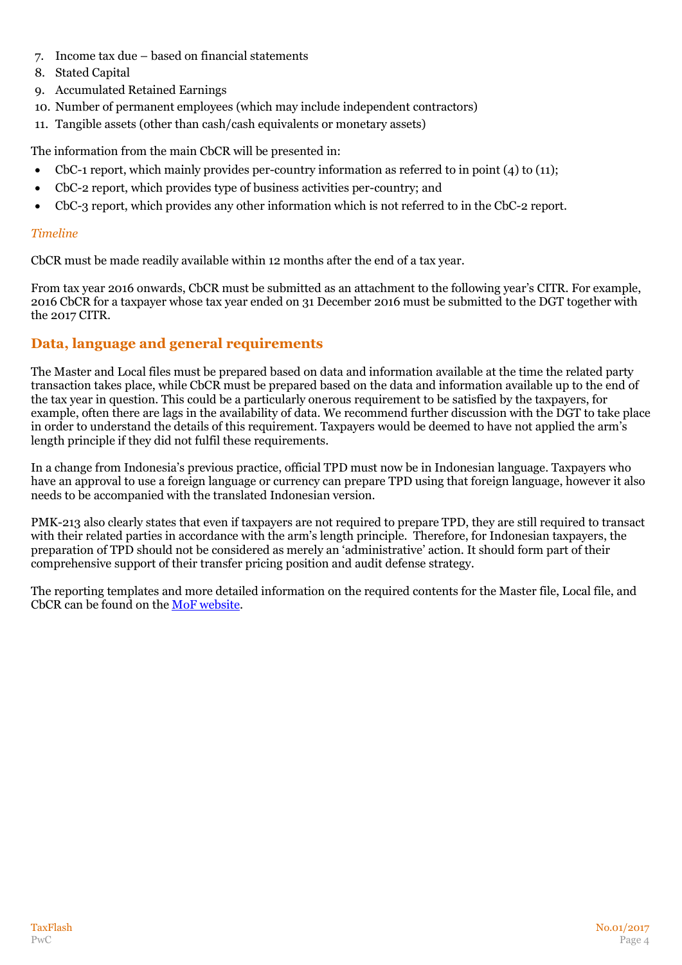- 7. Income tax due based on financial statements
- 8. Stated Capital
- 9. Accumulated Retained Earnings
- 10. Number of permanent employees (which may include independent contractors)
- 11. Tangible assets (other than cash/cash equivalents or monetary assets)

The information from the main CbCR will be presented in:

- CbC-1 report, which mainly provides per-country information as referred to in point (4) to (11);
- CbC-2 report, which provides type of business activities per-country; and
- CbC-3 report, which provides any other information which is not referred to in the CbC-2 report.

#### *Timeline*

CbCR must be made readily available within 12 months after the end of a tax year.

From tax year 2016 onwards, CbCR must be submitted as an attachment to the following year's CITR. For example, 2016 CbCR for a taxpayer whose tax year ended on 31 December 2016 must be submitted to the DGT together with the 2017 CITR.

### **Data, language and general requirements**

The Master and Local files must be prepared based on data and information available at the time the related party transaction takes place, while CbCR must be prepared based on the data and information available up to the end of the tax year in question. This could be a particularly onerous requirement to be satisfied by the taxpayers, for example, often there are lags in the availability of data. We recommend further discussion with the DGT to take place in order to understand the details of this requirement. Taxpayers would be deemed to have not applied the arm's length principle if they did not fulfil these requirements.

In a change from Indonesia's previous practice, official TPD must now be in Indonesian language. Taxpayers who have an approval to use a foreign language or currency can prepare TPD using that foreign language, however it also needs to be accompanied with the translated Indonesian version.

PMK-213 also clearly states that even if taxpayers are not required to prepare TPD, they are still required to transact with their related parties in accordance with the arm's length principle. Therefore, for Indonesian taxpayers, the preparation of TPD should not be considered as merely an 'administrative' action. It should form part of their comprehensive support of their transfer pricing position and audit defense strategy.

The reporting templates and more detailed information on the required contents for the Master file, Local file, and CbCR can be found on the [MoF website.](http://www.sjdih.depkeu.go.id/fullText/2016/213~PMK.03~2016Per.pdf)